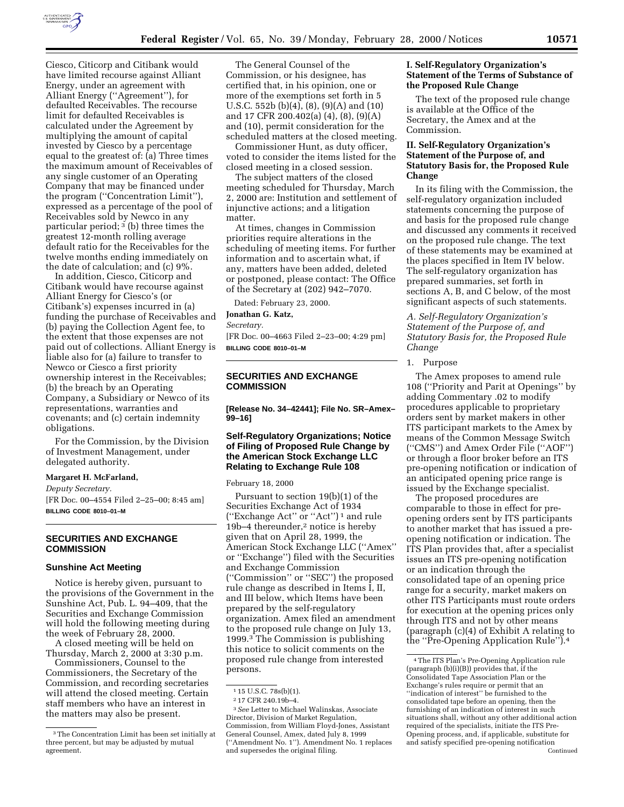

Ciesco, Citicorp and Citibank would have limited recourse against Alliant Energy, under an agreement with Alliant Energy (''Agreement''), for defaulted Receivables. The recourse limit for defaulted Receivables is calculated under the Agreement by multiplying the amount of capital invested by Ciesco by a percentage equal to the greatest of: (a) Three times the maximum amount of Receivables of any single customer of an Operating Company that may be financed under the program (''Concentration Limit''), expressed as a percentage of the pool of Receivables sold by Newco in any particular period;  $3$  (b) three times the greatest 12-month rolling average default ratio for the Receivables for the twelve months ending immediately on the date of calculation; and (c) 9%.

In addition, Ciesco, Citicorp and Citibank would have recourse against Alliant Energy for Ciesco's (or Citibank's) expenses incurred in (a) funding the purchase of Receivables and (b) paying the Collection Agent fee, to the extent that those expenses are not paid out of collections. Alliant Energy is liable also for (a) failure to transfer to Newco or Ciesco a first priority ownership interest in the Receivables; (b) the breach by an Operating Company, a Subsidiary or Newco of its representations, warranties and covenants; and (c) certain indemnity obligations.

For the Commission, by the Division of Investment Management, under delegated authority.

#### **Margaret H. McFarland,**

*Deputy Secretary.*

[FR Doc. 00–4554 Filed 2–25–00; 8:45 am] **BILLING CODE 8010–01–M**

# **SECURITIES AND EXCHANGE COMMISSION**

## **Sunshine Act Meeting**

Notice is hereby given, pursuant to the provisions of the Government in the Sunshine Act, Pub. L. 94–409, that the Securities and Exchange Commission will hold the following meeting during the week of February 28, 2000.

A closed meeting will be held on Thursday, March 2, 2000 at 3:30 p.m.

Commissioners, Counsel to the Commissioners, the Secretary of the Commission, and recording secretaries will attend the closed meeting. Certain staff members who have an interest in the matters may also be present.

The General Counsel of the Commission, or his designee, has certified that, in his opinion, one or more of the exemptions set forth in 5 U.S.C. 552b (b)(4), (8), (9)(A) and (10) and 17 CFR 200.402(a) (4), (8), (9)(A) and (10), permit consideration for the scheduled matters at the closed meeting.

Commissioner Hunt, as duty officer, voted to consider the items listed for the closed meeting in a closed session.

The subject matters of the closed meeting scheduled for Thursday, March 2, 2000 are: Institution and settlement of injunctive actions; and a litigation matter.

At times, changes in Commission priorities require alterations in the scheduling of meeting items. For further information and to ascertain what, if any, matters have been added, deleted or postponed, please contact: The Office of the Secretary at (202) 942–7070.

Dated: February 23, 2000.

**Jonathan G. Katz,**

*Secretary.*

[FR Doc. 00–4663 Filed 2–23–00; 4:29 pm] **BILLING CODE 8010–01–M**

## **SECURITIES AND EXCHANGE COMMISSION**

**[Release No. 34–42441]; File No. SR–Amex– 99–16]**

# **Self-Regulatory Organizations; Notice of Filing of Proposed Rule Change by the American Stock Exchange LLC Relating to Exchange Rule 108**

February 18, 2000

Pursuant to section 19(b)(1) of the Securities Exchange Act of 1934 (''Exchange Act'' or ''Act'') 1 and rule 19b–4 thereunder,<sup>2</sup> notice is hereby given that on April 28, 1999, the American Stock Exchange LLC (''Amex'' or ''Exchange'') filed with the Securities and Exchange Commission (''Commission'' or ''SEC'') the proposed rule change as described in Items I, II, and III below, which Items have been prepared by the self-regulatory organization. Amex filed an amendment to the proposed rule change on July 13, 1999.3 The Commission is publishing this notice to solicit comments on the proposed rule change from interested persons.

3*See* Letter to Michael Walinskas, Associate Director, Division of Market Regulation, Commission, from William Floyd-Jones, Assistant General Counsel, Amex, dated July 8, 1999 (''Amendment No. 1''). Amendment No. 1 replaces and supersedes the original filing.

### **I. Self-Regulatory Organization's Statement of the Terms of Substance of the Proposed Rule Change**

The text of the proposed rule change is available at the Office of the Secretary, the Amex and at the Commission.

## **II. Self-Regulatory Organization's Statement of the Purpose of, and Statutory Basis for, the Proposed Rule Change**

In its filing with the Commission, the self-regulatory organization included statements concerning the purpose of and basis for the proposed rule change and discussed any comments it received on the proposed rule change. The text of these statements may be examined at the places specified in Item IV below. The self-regulatory organization has prepared summaries, set forth in sections A, B, and C below, of the most significant aspects of such statements.

*A. Self-Regulatory Organization's Statement of the Purpose of, and Statutory Basis for, the Proposed Rule Change*

1. Purpose

The Amex proposes to amend rule 108 (''Priority and Parit at Openings'' by adding Commentary .02 to modify procedures applicable to proprietary orders sent by market makers in other ITS participant markets to the Amex by means of the Common Message Switch (''CMS'') and Amex Order File (''AOF'') or through a floor broker before an ITS pre-opening notification or indication of an anticipated opening price range is issued by the Exchange specialist.

The proposed procedures are comparable to those in effect for preopening orders sent by ITS participants to another market that has issued a preopening notification or indication. The ITS Plan provides that, after a specialist issues an ITS pre-opening notification or an indication through the consolidated tape of an opening price range for a security, market makers on other ITS Participants must route orders for execution at the opening prices only through ITS and not by other means (paragraph (c)(4) of Exhibit A relating to the ''Pre-Opening Application Rule'').4

<sup>3</sup>The Concentration Limit has been set initially at three percent, but may be adjusted by mutual agreement.

<sup>1</sup> 15 U.S.C. 78s(b)(1).

<sup>2</sup> 17 CFR 240.19b–4.

<sup>4</sup>The ITS Plan's Pre-Opening Application rule (paragraph (b)(i)(B)) provides that, if the Consolidated Tape Association Plan or the Exchange's rules require or permit that an ''indication of interest'' be furnished to the consolidated tape before an opening, then the furnishing of an indication of interest in such situations shall, without any other additional action required of the specialists, initiate the ITS Pre-Opening process, and, if applicable, substitute for and satisfy specified pre-opening notification Continued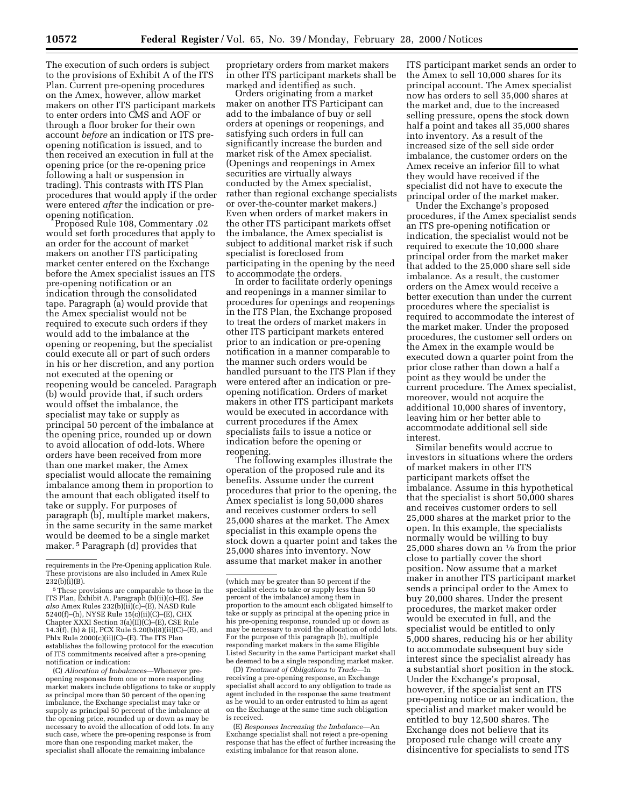The execution of such orders is subject to the provisions of Exhibit A of the ITS Plan. Current pre-opening procedures on the Amex, however, allow market makers on other ITS participant markets to enter orders into CMS and AOF or through a floor broker for their own account *before* an indication or ITS preopening notification is issued, and to then received an execution in full at the opening price (or the re-opening price following a halt or suspension in trading). This contrasts with ITS Plan procedures that would apply if the order were entered *after* the indication or pre-

Opposed Rule 108, Commentary .02 would set forth procedures that apply to an order for the account of market makers on another ITS participating market center entered on the Exchange before the Amex specialist issues an ITS pre-opening notification or an indication through the consolidated tape. Paragraph (a) would provide that the Amex specialist would not be required to execute such orders if they would add to the imbalance at the opening or reopening, but the specialist could execute all or part of such orders in his or her discretion, and any portion not executed at the opening or reopening would be canceled. Paragraph (b) would provide that, if such orders would offset the imbalance, the specialist may take or supply as principal 50 percent of the imbalance at the opening price, rounded up or down to avoid allocation of odd-lots. Where orders have been received from more than one market maker, the Amex specialist would allocate the remaining imbalance among them in proportion to the amount that each obligated itself to take or supply. For purposes of paragraph (b), multiple market makers, in the same security in the same market would be deemed to be a single market maker. 5 Paragraph (d) provides that

(C) *Allocation of Imbalances*—Whenever preopening responses from one or more responding market makers include obligations to take or supply as principal more than 50 percent of the opening imbalance, the Exchange specialist may take or supply as principal 50 percent of the imbalance at the opening price, rounded up or down as may be necessary to avoid the allocation of odd lots. In any such case, where the pre-opening response is from more than one responding market maker, the specialist shall allocate the remaining imbalance

proprietary orders from market makers in other ITS participant markets shall be marked and identified as such.

Orders originating from a market maker on another ITS Participant can add to the imbalance of buy or sell orders at openings or reopenings, and satisfying such orders in full can significantly increase the burden and market risk of the Amex specialist. (Openings and reopenings in Amex securities are virtually always conducted by the Amex specialist, rather than regional exchange specialists or over-the-counter market makers.) Even when orders of market makers in the other ITS participant markets offset the imbalance, the Amex specialist is subject to additional market risk if such specialist is foreclosed from participating in the opening by the need to accommodate the orders.

In order to facilitate orderly openings and reopenings in a manner similar to procedures for openings and reopenings in the ITS Plan, the Exchange proposed to treat the orders of market makers in other ITS participant markets entered prior to an indication or pre-opening notification in a manner comparable to the manner such orders would be handled pursuant to the ITS Plan if they were entered after an indication or preopening notification. Orders of market makers in other ITS participant markets would be executed in accordance with current procedures if the Amex specialists fails to issue a notice or indication before the opening or

The following examples illustrate the operation of the proposed rule and its benefits. Assume under the current procedures that prior to the opening, the Amex specialist is long 50,000 shares and receives customer orders to sell 25,000 shares at the market. The Amex specialist in this example opens the stock down a quarter point and takes the 25,000 shares into inventory. Now assume that market maker in another

(D) *Treatment of Obligations to Trade*—In receiving a pre-opening response, an Exchange specialist shall accord to any obligation to trade as agent included in the response the same treatment as he would to an order entrusted to him as agent on the Exchange at the same time such obligation is received.

(E) *Responses Increasing the Imbalance*—An Exchange specialist shall not reject a pre-opening response that has the effect of further increasing the existing imbalance for that reason alone.

ITS participant market sends an order to the Amex to sell 10,000 shares for its principal account. The Amex specialist now has orders to sell 35,000 shares at the market and, due to the increased selling pressure, opens the stock down half a point and takes all 35,000 shares into inventory. As a result of the increased size of the sell side order imbalance, the customer orders on the Amex receive an inferior fill to what they would have received if the specialist did not have to execute the principal order of the market maker.

Under the Exchange's proposed procedures, if the Amex specialist sends an ITS pre-opening notification or indication, the specialist would not be required to execute the 10,000 share principal order from the market maker that added to the 25,000 share sell side imbalance. As a result, the customer orders on the Amex would receive a better execution than under the current procedures where the specialist is required to accommodate the interest of the market maker. Under the proposed procedures, the customer sell orders on the Amex in the example would be executed down a quarter point from the prior close rather than down a half a point as they would be under the current procedure. The Amex specialist, moreover, would not acquire the additional 10,000 shares of inventory, leaving him or her better able to accommodate additional sell side interest.

Similar benefits would accrue to investors in situations where the orders of market makers in other ITS participant markets offset the imbalance. Assume in this hypothetical that the specialist is short 50,000 shares and receives customer orders to sell 25,000 shares at the market prior to the open. In this example, the specialists normally would be willing to buy 25,000 shares down an  $\frac{1}{8}$  from the prior close to partially cover the short position. Now assume that a market maker in another ITS participant market sends a principal order to the Amex to buy 20,000 shares. Under the present procedures, the market maker order would be executed in full, and the specialist would be entitled to only 5,000 shares, reducing his or her ability to accommodate subsequent buy side interest since the specialist already has a substantial short position in the stock. Under the Exchange's proposal, however, if the specialist sent an ITS pre-opening notice or an indication, the specialist and market maker would be entitled to buy 12,500 shares. The Exchange does not believe that its proposed rule change will create any disincentive for specialists to send ITS

requirements in the Pre-Opening application Rule. These provisions are also included in Amex Rule  $232(b)(i)(B)$ .

<sup>5</sup>These provisions are comparable to those in the ITS Plan, Exhibit A, Paragraph (b)(ii)(c)–(E). *See also* Amex Rules 232(b)(ii)(c)–(E), NASD Rule 5240(f)–(h), NYSE Rule 15(c)(ii)(C)–(E), CHX Chapter XXXI Section 3(a)(II)(C)–(E), CSE Rule 14.3(f), (h) & (i), PCX Rule  $5.20(b)(8)(ii)(C)$ –(E), and Phlx Rule  $2000(c)(ii)(C)$ –(E). The ITS Plan establishes the following protocol for the execution of ITS commitments received after a pre-opening notification or indication:

<sup>(</sup>which may be greater than 50 percent if the specialist elects to take or supply less than 50 percent of the imbalance) among them in proportion to the amount each obligated himself to take or supply as principal at the opening price in his pre-opening response, rounded up or down as may be necessary to avoid the allocation of odd lots. For the purpose of this paragraph (b), multiple responding market makers in the same Eligible Listed Security in the same Participant market shall be deemed to be a single responding market maker.